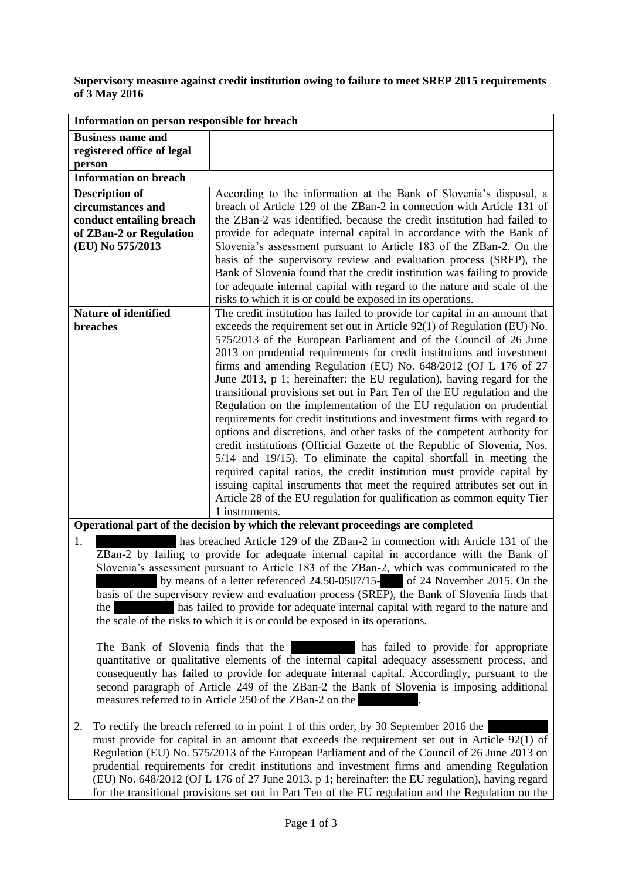## **Supervisory measure against credit institution owing to failure to meet SREP 2015 requirements of 3 May 2016**

| Information on person responsible for breach                                                                                                                                                |                                                                                                                                                    |
|---------------------------------------------------------------------------------------------------------------------------------------------------------------------------------------------|----------------------------------------------------------------------------------------------------------------------------------------------------|
| <b>Business name and</b><br>registered office of legal                                                                                                                                      |                                                                                                                                                    |
| person                                                                                                                                                                                      |                                                                                                                                                    |
| <b>Information on breach</b>                                                                                                                                                                |                                                                                                                                                    |
| <b>Description of</b>                                                                                                                                                                       | According to the information at the Bank of Slovenia's disposal, a                                                                                 |
| circumstances and                                                                                                                                                                           | breach of Article 129 of the ZBan-2 in connection with Article 131 of                                                                              |
| conduct entailing breach                                                                                                                                                                    | the ZBan-2 was identified, because the credit institution had failed to                                                                            |
| of ZBan-2 or Regulation                                                                                                                                                                     | provide for adequate internal capital in accordance with the Bank of                                                                               |
| (EU) No 575/2013                                                                                                                                                                            | Slovenia's assessment pursuant to Article 183 of the ZBan-2. On the<br>basis of the supervisory review and evaluation process (SREP), the          |
|                                                                                                                                                                                             | Bank of Slovenia found that the credit institution was failing to provide                                                                          |
|                                                                                                                                                                                             | for adequate internal capital with regard to the nature and scale of the                                                                           |
|                                                                                                                                                                                             | risks to which it is or could be exposed in its operations.                                                                                        |
| <b>Nature of identified</b>                                                                                                                                                                 | The credit institution has failed to provide for capital in an amount that                                                                         |
| breaches                                                                                                                                                                                    | exceeds the requirement set out in Article 92(1) of Regulation (EU) No.                                                                            |
|                                                                                                                                                                                             | 575/2013 of the European Parliament and of the Council of 26 June                                                                                  |
|                                                                                                                                                                                             | 2013 on prudential requirements for credit institutions and investment                                                                             |
|                                                                                                                                                                                             | firms and amending Regulation (EU) No. 648/2012 (OJ L 176 of 27                                                                                    |
|                                                                                                                                                                                             | June 2013, p 1; hereinafter: the EU regulation), having regard for the<br>transitional provisions set out in Part Ten of the EU regulation and the |
|                                                                                                                                                                                             | Regulation on the implementation of the EU regulation on prudential                                                                                |
|                                                                                                                                                                                             | requirements for credit institutions and investment firms with regard to                                                                           |
|                                                                                                                                                                                             | options and discretions, and other tasks of the competent authority for                                                                            |
|                                                                                                                                                                                             | credit institutions (Official Gazette of the Republic of Slovenia, Nos.                                                                            |
|                                                                                                                                                                                             | 5/14 and 19/15). To eliminate the capital shortfall in meeting the                                                                                 |
|                                                                                                                                                                                             | required capital ratios, the credit institution must provide capital by                                                                            |
|                                                                                                                                                                                             | issuing capital instruments that meet the required attributes set out in                                                                           |
|                                                                                                                                                                                             | Article 28 of the EU regulation for qualification as common equity Tier                                                                            |
|                                                                                                                                                                                             | 1 instruments.                                                                                                                                     |
| Operational part of the decision by which the relevant proceedings are completed<br>1.<br>has breached Article 129 of the ZBan-2 in connection with Article 131 of the                      |                                                                                                                                                    |
|                                                                                                                                                                                             |                                                                                                                                                    |
| ZBan-2 by failing to provide for adequate internal capital in accordance with the Bank of<br>Slovenia's assessment pursuant to Article 183 of the ZBan-2, which was communicated to the     |                                                                                                                                                    |
|                                                                                                                                                                                             | by means of a letter referenced 24.50-0507/15- of 24 November 2015. On the                                                                         |
| basis of the supervisory review and evaluation process (SREP), the Bank of Slovenia finds that                                                                                              |                                                                                                                                                    |
| has failed to provide for adequate internal capital with regard to the nature and<br>the                                                                                                    |                                                                                                                                                    |
| the scale of the risks to which it is or could be exposed in its operations.                                                                                                                |                                                                                                                                                    |
|                                                                                                                                                                                             |                                                                                                                                                    |
| The Bank of Slovenia finds that the<br>has failed to provide for appropriate                                                                                                                |                                                                                                                                                    |
| quantitative or qualitative elements of the internal capital adequacy assessment process, and                                                                                               |                                                                                                                                                    |
| consequently has failed to provide for adequate internal capital. Accordingly, pursuant to the<br>second paragraph of Article 249 of the ZBan-2 the Bank of Slovenia is imposing additional |                                                                                                                                                    |
|                                                                                                                                                                                             | measures referred to in Article 250 of the ZBan-2 on the                                                                                           |
|                                                                                                                                                                                             |                                                                                                                                                    |
| To rectify the breach referred to in point 1 of this order, by 30 September 2016 the<br>2.                                                                                                  |                                                                                                                                                    |
| must provide for capital in an amount that exceeds the requirement set out in Article 92(1) of                                                                                              |                                                                                                                                                    |
| Regulation (EU) No. 575/2013 of the European Parliament and of the Council of 26 June 2013 on                                                                                               |                                                                                                                                                    |
| prudential requirements for credit institutions and investment firms and amending Regulation                                                                                                |                                                                                                                                                    |
| (EU) No. 648/2012 (OJ L 176 of 27 June 2013, p 1; hereinafter: the EU regulation), having regard                                                                                            |                                                                                                                                                    |
| for the transitional provisions set out in Part Ten of the EU regulation and the Regulation on the                                                                                          |                                                                                                                                                    |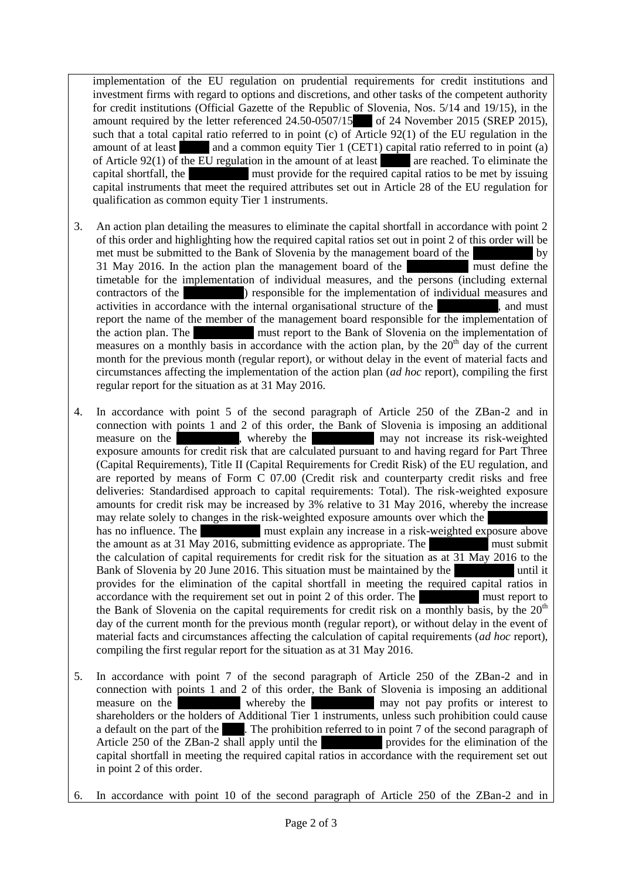implementation of the EU regulation on prudential requirements for credit institutions and investment firms with regard to options and discretions, and other tasks of the competent authority for credit institutions (Official Gazette of the Republic of Slovenia, Nos. 5/14 and 19/15), in the amount required by the letter referenced  $24.50-0507/15$  of 24 November 2015 (SREP 2015), such that a total capital ratio referred to in point (c) of Article  $92(1)$  of the EU regulation in the amount of at least and a common equity Tier 1 (CET1) capital ratio referred to in point (a) of Article 92(1) of the EU regulation in the amount of at least  $\blacksquare$  are reached. To eliminate the capital shortfall, the same must provide for the required capital ratios to be met by issuing capital instruments that meet the required attributes set out in Article 28 of the EU regulation for qualification as common equity Tier 1 instruments.

- 3. An action plan detailing the measures to eliminate the capital shortfall in accordance with point 2 of this order and highlighting how the required capital ratios set out in point 2 of this order will be met must be submitted to the Bank of Slovenia by the management board of the same by 31 May 2016. In the action plan the management board of the same must define the timetable for the implementation of individual measures, and the persons (including external contractors of the same same same proponsible for the implementation of individual measures and activities in accordance with the internal organisational structure of the savings bank, and must report the name of the member of the management board responsible for the implementation of the action plan. The same same same must report to the Bank of Slovenia on the implementation of measures on a monthly basis in accordance with the action plan, by the  $20<sup>th</sup>$  day of the current month for the previous month (regular report), or without delay in the event of material facts and circumstances affecting the implementation of the action plan (*ad hoc* report), compiling the first regular report for the situation as at 31 May 2016.
- 4. In accordance with point 5 of the second paragraph of Article 250 of the ZBan-2 and in connection with points 1 and 2 of this order, the Bank of Slovenia is imposing an additional measure on the same savings bank may not increase its risk-weighted exposure amounts for credit risk that are calculated pursuant to and having regard for Part Three (Capital Requirements), Title II (Capital Requirements for Credit Risk) of the EU regulation, and are reported by means of Form C 07.00 (Credit risk and counterparty credit risks and free deliveries: Standardised approach to capital requirements: Total). The risk-weighted exposure amounts for credit risk may be increased by 3% relative to 31 May 2016, whereby the increase may relate solely to changes in the risk-weighted exposure amounts over which the has no influence. The same must explain any increase in a risk-weighted exposure above the amount as at 31 May 2016, submitting evidence as appropriate. The must submit the calculation of capital requirements for credit risk for the situation as at 31 May 2016 to the Bank of Slovenia by 20 June 2016. This situation must be maintained by the same until it provides for the elimination of the capital shortfall in meeting the required capital ratios in accordance with the requirement set out in point 2 of this order. The must report to the Bank of Slovenia on the capital requirements for credit risk on a monthly basis, by the  $20<sup>th</sup>$ day of the current month for the previous month (regular report), or without delay in the event of material facts and circumstances affecting the calculation of capital requirements (*ad hoc* report), compiling the first regular report for the situation as at 31 May 2016.
- 5. In accordance with point 7 of the second paragraph of Article 250 of the ZBan-2 and in connection with points 1 and 2 of this order, the Bank of Slovenia is imposing an additional measure on the same savings bank whereby the same may not pay profits or interest to shareholders or the holders of Additional Tier 1 instruments, unless such prohibition could cause a default on the part of the bank. The prohibition referred to in point 7 of the second paragraph of Article 250 of the ZBan-2 shall apply until the same provides for the elimination of the capital shortfall in meeting the required capital ratios in accordance with the requirement set out in point 2 of this order.
- 6. In accordance with point 10 of the second paragraph of Article 250 of the ZBan-2 and in